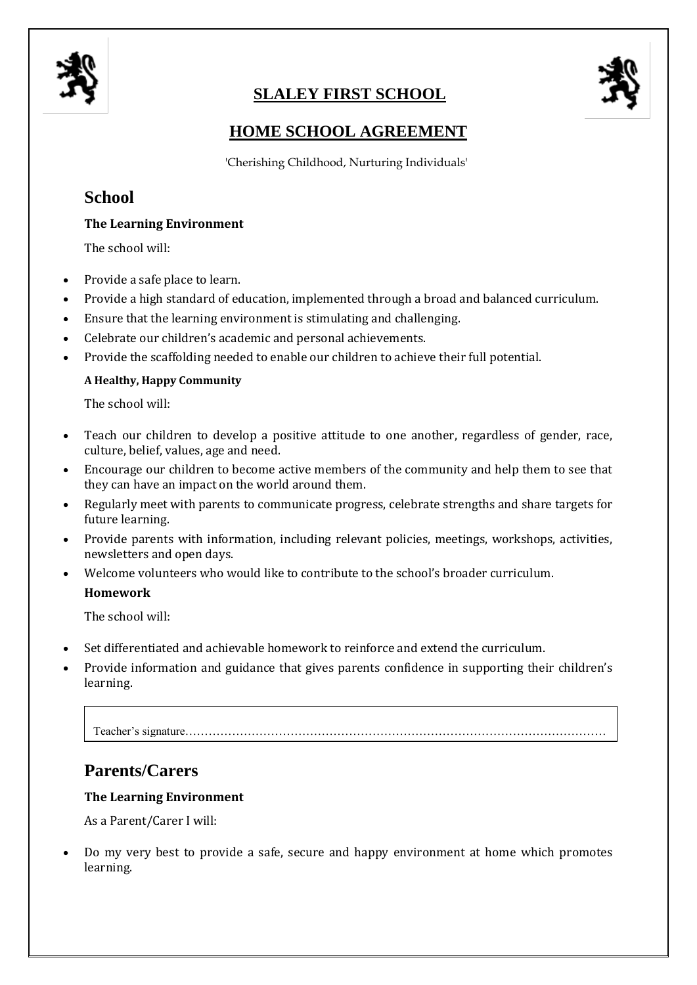

# **SLALEY FIRST SCHOOL**



### **HOME SCHOOL AGREEMENT**

'Cherishing Childhood, Nurturing Individuals'

## **School**

### **The Learning Environment**

The school will:

- Provide a safe place to learn.
- Provide a high standard of education, implemented through a broad and balanced curriculum.
- Ensure that the learning environment is stimulating and challenging.
- Celebrate our children's academic and personal achievements.
- Provide the scaffolding needed to enable our children to achieve their full potential.

### **A Healthy, Happy Community**

The school will:

- Teach our children to develop a positive attitude to one another, regardless of gender, race, culture, belief, values, age and need.
- Encourage our children to become active members of the community and help them to see that they can have an impact on the world around them.
- Regularly meet with parents to communicate progress, celebrate strengths and share targets for future learning.
- Provide parents with information, including relevant policies, meetings, workshops, activities, newsletters and open days.
- Welcome volunteers who would like to contribute to the school's broader curriculum. **Homework**

The school will:

- Set differentiated and achievable homework to reinforce and extend the curriculum.
- Provide information and guidance that gives parents confidence in supporting their children's learning.

Teacher's signature………………………………………………………………………………………………

## **Parents/Carers**

#### **The Learning Environment**

As a Parent/Carer I will:

 Do my very best to provide a safe, secure and happy environment at home which promotes learning.